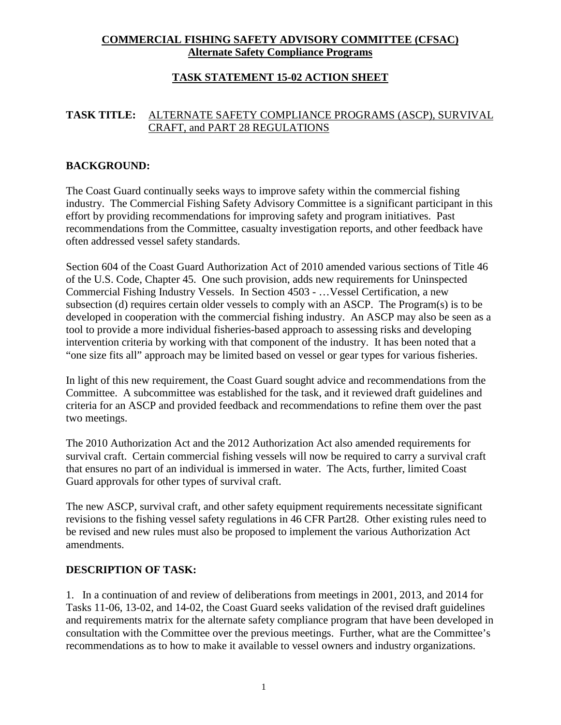## **COMMERCIAL FISHING SAFETY ADVISORY COMMITTEE (CFSAC) Alternate Safety Compliance Programs**

## **TASK STATEMENT 15-02 ACTION SHEET**

### **TASK TITLE:** ALTERNATE SAFETY COMPLIANCE PROGRAMS (ASCP), SURVIVAL CRAFT, and PART 28 REGULATIONS

### **BACKGROUND:**

The Coast Guard continually seeks ways to improve safety within the commercial fishing industry. The Commercial Fishing Safety Advisory Committee is a significant participant in this effort by providing recommendations for improving safety and program initiatives. Past recommendations from the Committee, casualty investigation reports, and other feedback have often addressed vessel safety standards.

Section 604 of the Coast Guard Authorization Act of 2010 amended various sections of Title 46 of the U.S. Code, Chapter 45. One such provision, adds new requirements for Uninspected Commercial Fishing Industry Vessels. In Section 4503 - …Vessel Certification, a new subsection (d) requires certain older vessels to comply with an ASCP. The Program(s) is to be developed in cooperation with the commercial fishing industry. An ASCP may also be seen as a tool to provide a more individual fisheries-based approach to assessing risks and developing intervention criteria by working with that component of the industry. It has been noted that a "one size fits all" approach may be limited based on vessel or gear types for various fisheries.

In light of this new requirement, the Coast Guard sought advice and recommendations from the Committee. A subcommittee was established for the task, and it reviewed draft guidelines and criteria for an ASCP and provided feedback and recommendations to refine them over the past two meetings.

The 2010 Authorization Act and the 2012 Authorization Act also amended requirements for survival craft. Certain commercial fishing vessels will now be required to carry a survival craft that ensures no part of an individual is immersed in water. The Acts, further, limited Coast Guard approvals for other types of survival craft.

The new ASCP, survival craft, and other safety equipment requirements necessitate significant revisions to the fishing vessel safety regulations in 46 CFR Part28. Other existing rules need to be revised and new rules must also be proposed to implement the various Authorization Act amendments.

#### **DESCRIPTION OF TASK:**

1. In a continuation of and review of deliberations from meetings in 2001, 2013, and 2014 for Tasks 11-06, 13-02, and 14-02, the Coast Guard seeks validation of the revised draft guidelines and requirements matrix for the alternate safety compliance program that have been developed in consultation with the Committee over the previous meetings. Further, what are the Committee's recommendations as to how to make it available to vessel owners and industry organizations.